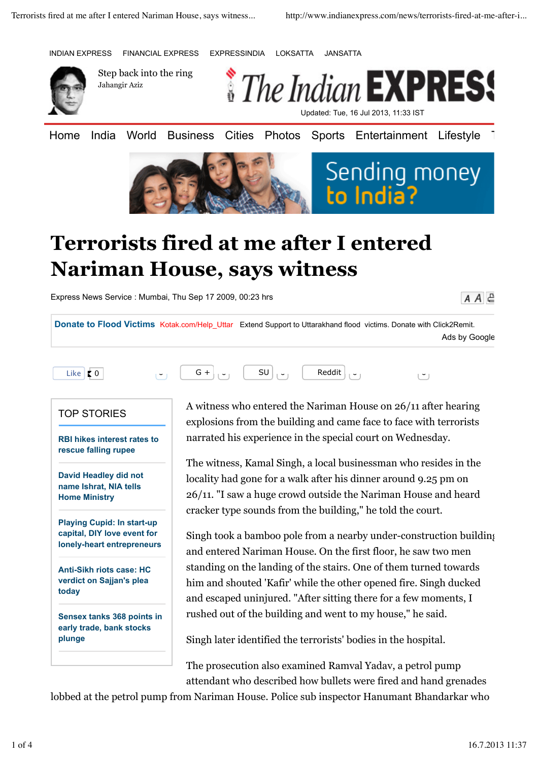INDIAN EXPRESS FINANCIAL EXPRESS EXPRESSINDIA LOKSATTA JANSATTA



Step back into the ring Jahangir Aziz



Home India World Business Cities Photos Sports Entertainment Lifestyle





## **Terrorists fired at me after I entered Nariman House, says witness**

Express News Service : Mumbai, Thu Sep 17 2009, 00:23 hrs

 $A \overline{A}$  $E$ 

**Donate to Flood Victims Kotak.com/Help Uttar Extend Support to Uttarakhand flood victims. Donate with Click2Remit.** Ads by Google



## TOP STORIES

**RBI hikes interest rates to rescue falling rupee**

**David Headley did not name Ishrat, NIA tells Home Ministry**

**Playing Cupid: In start-up capital, DIY love event for lonely-heart entrepreneurs**

**Anti-Sikh riots case: HC verdict on Sajjan's plea today**

**Sensex tanks 368 points in early trade, bank stocks plunge**

A witness who entered the Nariman House on 26/11 after hearing explosions from the building and came face to face with terrorists narrated his experience in the special court on Wednesday.

The witness, Kamal Singh, a local businessman who resides in the locality had gone for a walk after his dinner around 9.25 pm on 26/11. "I saw a huge crowd outside the Nariman House and heard cracker type sounds from the building," he told the court.

Singh took a bamboo pole from a nearby under-construction building and entered Nariman House. On the first floor, he saw two men standing on the landing of the stairs. One of them turned towards him and shouted 'Kafir' while the other opened fire. Singh ducked and escaped uninjured. "After sitting there for a few moments, I rushed out of the building and went to my house," he said.

Singh later identified the terrorists' bodies in the hospital.

The prosecution also examined Ramval Yadav, a petrol pump attendant who described how bullets were fired and hand grenades

lobbed at the petrol pump from Nariman House. Police sub inspector Hanumant Bhandarkar who